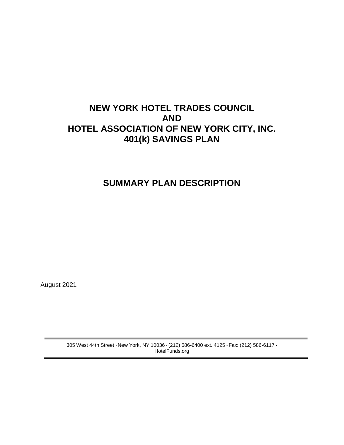# **NEW YORK HOTEL TRADES COUNCIL AND HOTEL ASSOCIATION OF NEW YORK CITY, INC. 401(k) SAVINGS PLAN**

# **SUMMARY PLAN DESCRIPTION**

August 2021

305 West 44th Street • New York, NY 10036 • (212) 586-6400 ext. 4125 • Fax: (212) 586-6117 • HotelFunds.org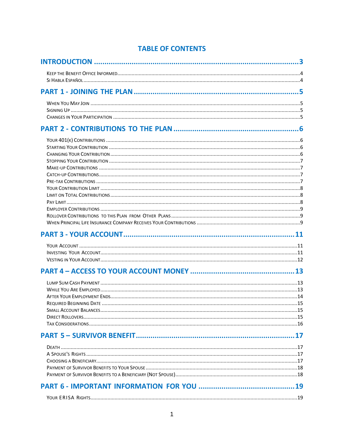## **TABLE OF CONTENTS**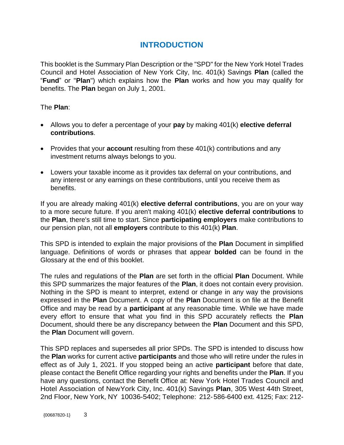## **INTRODUCTION**

<span id="page-3-0"></span>This booklet is the Summary Plan Description or the "SPD" for the New York Hotel Trades Council and Hotel Association of New York City, Inc. 401(k) Savings **Plan** (called the "**Fund**" or "**Plan**") which explains how the **Plan** works and how you may qualify for benefits. The **Plan** began on July 1, 2001.

#### The **Plan**:

- Allows you to defer a percentage of your **pay** by making 401(k) **elective deferral contributions**.
- Provides that your **account** resulting from these 401(k) contributions and any investment returns always belongs to you.
- Lowers your taxable income as it provides tax deferral on your contributions, and any interest or any earnings on these contributions, until you receive them as benefits.

If you are already making 401(k) **elective deferral contributions**, you are on your way to a more secure future. If you aren't making 401(k) **elective deferral contributions** to the **Plan**, there's still time to start. Since **participating employers** make contributions to our pension plan, not all **employers** contribute to this 401(k) **Plan**.

This SPD is intended to explain the major provisions of the **Plan** Document in simplified language. Definitions of words or phrases that appear **bolded** can be found in the Glossary at the end of this booklet.

The rules and regulations of the **Plan** are set forth in the official **Plan** Document. While this SPD summarizes the major features of the **Plan**, it does not contain every provision. Nothing in the SPD is meant to interpret, extend or change in any way the provisions expressed in the **Plan** Document. A copy of the **Plan** Document is on file at the Benefit Office and may be read by a **participant** at any reasonable time. While we have made every effort to ensure that what you find in this SPD accurately reflects the **Plan** Document, should there be any discrepancy between the **Plan** Document and this SPD, the **Plan** Document will govern.

This SPD replaces and supersedes all prior SPDs. The SPD is intended to discuss how the **Plan** works for current active **participants** and those who will retire under the rules in effect as of July 1, 2021. If you stopped being an active **participant** before that date, please contact the Benefit Office regarding your rights and benefits under the **Plan**. If you have any questions, contact the Benefit Office at: New York Hotel Trades Council and Hotel Association of NewYork City, Inc. 401(k) Savings **Plan**, 305 West 44th Street, 2nd Floor, New York, NY 10036-5402; Telephone: 212-586-6400 ext. 4125; Fax: 212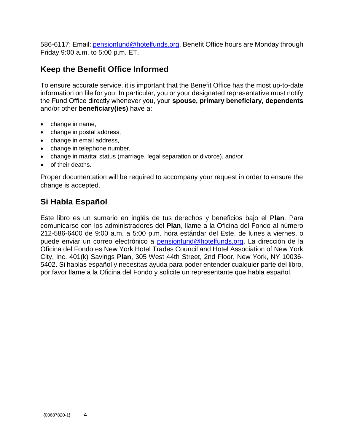586-6117; Email: [pensionfund@hotelfunds.org.](mailto:pensionfund@hotelfunds.org) Benefit Office hours are Monday through Friday 9:00 a.m. to 5:00 p.m. ET.

# <span id="page-4-0"></span>**Keep the Benefit Office Informed**

To ensure accurate service, it is important that the Benefit Office has the most up-to-date information on file for you. In particular, you or your designated representative must notify the Fund Office directly whenever you, your **spouse, primary beneficiary, dependents** and/or other **beneficiary(ies)** have a:

- change in name,
- change in postal address,
- change in email address,
- change in telephone number,
- change in marital status (marriage, legal separation or divorce), and/or
- of their deaths.

Proper documentation will be required to accompany your request in order to ensure the change is accepted.

## <span id="page-4-1"></span>**Si Habla Español**

Este libro es un sumario en inglés de tus derechos y beneficios bajo el **Plan**. Para comunicarse con los administradores del **Plan**, llame a la Oficina del Fondo al número 212-586-6400 de 9:00 a.m. a 5:00 p.m. hora estándar del Este, de lunes a viernes, o puede enviar un correo electrónico a [pensionfund@hotelfunds.org.](mailto:pensionfund@hotelfunds.org) La dirección de la Oficina del Fondo es New York Hotel Trades Council and Hotel Association of New York City, Inc. 401(k) Savings **Plan**, 305 West 44th Street, 2nd Floor, New York, NY 10036- 5402. Si hablas español y necesitas ayuda para poder entender cualquier parte del libro, por favor llame a la Oficina del Fondo y solicite un representante que habla español.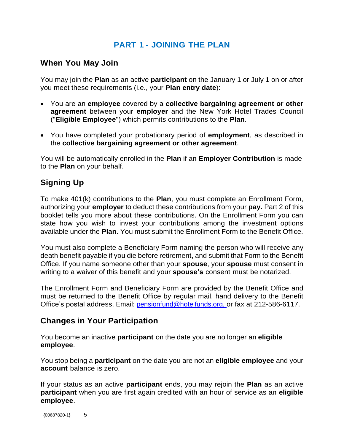## <span id="page-5-0"></span>**PART 1 - JOINING THE PLAN**

## <span id="page-5-1"></span>**When You May Join**

You may join the **Plan** as an active **participant** on the January 1 or July 1 on or after you meet these requirements (i.e., your **Plan entry date**):

- You are an **employee** covered by a **collective bargaining agreement or other agreement** between your **employer** and the New York Hotel Trades Council ("**Eligible Employee**") which permits contributions to the **Plan**.
- You have completed your probationary period of **employment**, as described in the **collective bargaining agreement or other agreement**.

You will be automatically enrolled in the **Plan** if an **Employer Contribution** is made to the **Plan** on your behalf.

# <span id="page-5-2"></span>**Signing Up**

To make 401(k) contributions to the **Plan**, you must complete an Enrollment Form, authorizing your **employer** to deduct these contributions from your **pay.** Part 2 of this booklet tells you more about these contributions. On the Enrollment Form you can state how you wish to invest your contributions among the investment options available under the **Plan**. You must submit the Enrollment Form to the Benefit Office.

You must also complete a Beneficiary Form naming the person who will receive any death benefit payable if you die before retirement, and submit that Form to the Benefit Office. If you name someone other than your **spouse**, your **spouse** must consent in writing to a waiver of this benefit and your **spouse's** consent must be notarized.

The Enrollment Form and Beneficiary Form are provided by the Benefit Office and must be returned to the Benefit Office by regular mail, hand delivery to the Benefit Office's postal address, Email: [pensionfund@hotelfunds.org,](mailto:pensionfund@hotelfunds.org) or fax at 212-586-6117.

## <span id="page-5-3"></span>**Changes in Your Participation**

You become an inactive **participant** on the date you are no longer an **eligible employee**.

You stop being a **participant** on the date you are not an **eligible employee** and your **account** balance is zero.

If your status as an active **participant** ends, you may rejoin the **Plan** as an active **participant** when you are first again credited with an hour of service as an **eligible employee**.

{00687820-1} 5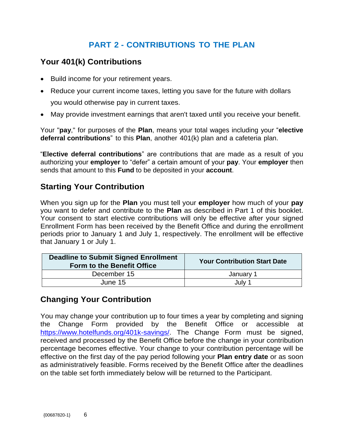# **PART 2 - CONTRIBUTIONS TO THE PLAN**

# <span id="page-6-1"></span><span id="page-6-0"></span>**Your 401(k) Contributions**

- Build income for your retirement years.
- Reduce your current income taxes, letting you save for the future with dollars you would otherwise pay in current taxes.
- May provide investment earnings that aren't taxed until you receive your benefit.

Your "**pay**," for purposes of the **Plan**, means your total wages including your "**elective deferral contributions**" to this **Plan**, another 401(k) plan and a cafeteria plan.

"**Elective deferral contributions**" are contributions that are made as a result of you authorizing your **employer** to "defer" a certain amount of your **pay**. Your **employer** then sends that amount to this **Fund** to be deposited in your **account**.

## <span id="page-6-2"></span>**Starting Your Contribution**

When you sign up for the **Plan** you must tell your **employer** how much of your **pay**  you want to defer and contribute to the **Plan** as described in Part 1 of this booklet. Your consent to start elective contributions will only be effective after your signed Enrollment Form has been received by the Benefit Office and during the enrollment periods prior to January 1 and July 1, respectively. The enrollment will be effective that January 1 or July 1.

| <b>Deadline to Submit Signed Enrollment</b><br><b>Form to the Benefit Office</b> | <b>Your Contribution Start Date</b> |
|----------------------------------------------------------------------------------|-------------------------------------|
| December 15                                                                      | January 1                           |
| June 15                                                                          | July 1                              |

# <span id="page-6-3"></span>**Changing Your Contribution**

You may change your contribution up to four times a year by completing and signing the Change Form provided by the Benefit Office or accessible at [https://www.hotelfunds.org/401k-savings/.](https://www.hotelfunds.org/401k-savings/) The Change Form must be signed, received and processed by the Benefit Office before the change in your contribution percentage becomes effective. Your change to your contribution percentage will be effective on the first day of the pay period following your **Plan entry date** or as soon as administratively feasible. Forms received by the Benefit Office after the deadlines on the table set forth immediately below will be returned to the Participant.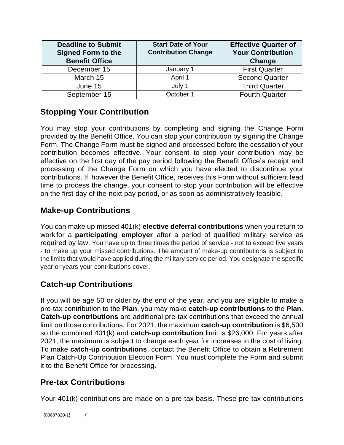| <b>Deadline to Submit</b><br><b>Signed Form to the</b><br><b>Benefit Office</b> | <b>Start Date of Your</b><br><b>Contribution Change</b> | <b>Effective Quarter of</b><br><b>Your Contribution</b><br>Change |
|---------------------------------------------------------------------------------|---------------------------------------------------------|-------------------------------------------------------------------|
| December 15                                                                     | January 1                                               | <b>First Quarter</b>                                              |
| March 15                                                                        | April 1                                                 | <b>Second Quarter</b>                                             |
| June 15                                                                         | July 1                                                  | <b>Third Quarter</b>                                              |
| September 15                                                                    | October 1                                               | <b>Fourth Quarter</b>                                             |

# <span id="page-7-0"></span>**Stopping Your Contribution**

You may stop your contributions by completing and signing the Change Form provided by the Benefit Office. You can stop your contribution by signing the Change Form. The Change Form must be signed and processed before the cessation of your contribution becomes effective. Your consent to stop your contribution may be effective on the first day of the pay period following the Benefit Office's receipt and processing of the Change Form on which you have elected to discontinue your contributions. If however the Benefit Office, receives this Form without sufficient lead time to process the change, your consent to stop your contribution will be effective on the first day of the next pay period, or as soon as administratively feasible.

# <span id="page-7-1"></span>**Make-up Contributions**

You can make up missed 401(k) **elective deferral contributions** when you return to work for a **participating employer** after a period of qualified military service as required by law. You have up to three times the period of service - not to exceed five years - to make up your missed contributions. The amount of make-up contributions is subject to the limits that would have applied during the military service period. You designate the specific year or years your contributions cover.

# <span id="page-7-2"></span>**Catch-up Contributions**

If you will be age 50 or older by the end of the year, and you are eligible to make a pre-tax contribution to the **Plan**, you may make **catch-up contributions** to the **Plan**. **Catch-up contributions** are additional pre-tax contributions that exceed the annual limit on those contributions. For 2021, the maximum **catch-up contribution** is \$6,500 so the combined 401(k) and **catch-up contribution** limit is \$26,000. For years after 2021, the maximum is subject to change each year for increases in the cost of living. To make **catch-up contributions**, contact the Benefit Office to obtain a Retirement Plan Catch-Up Contribution Election Form. You must complete the Form and submit it to the Benefit Office for processing.

# <span id="page-7-3"></span>**Pre-tax Contributions**

Your 401(k) contributions are made on a pre-tax basis. These pre-tax contributions

{00687820-1} 7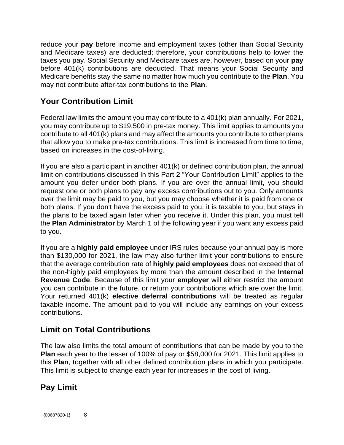reduce your **pay** before income and employment taxes (other than Social Security and Medicare taxes) are deducted; therefore, your contributions help to lower the taxes you pay. Social Security and Medicare taxes are, however, based on your **pay**  before 401(k) contributions are deducted. That means your Social Security and Medicare benefits stay the same no matter how much you contribute to the **Plan**. You may not contribute after-tax contributions to the **Plan**.

# <span id="page-8-0"></span>**Your Contribution Limit**

Federal law limits the amount you may contribute to a 401(k) plan annually. For 2021, you may contribute up to \$19,500 in pre-tax money. This limit applies to amounts you contribute to all 401(k) plans and may affect the amounts you contribute to other plans that allow you to make pre-tax contributions. This limit is increased from time to time, based on increases in the cost-of-living.

If you are also a participant in another 401(k) or defined contribution plan, the annual limit on contributions discussed in this Part 2 "Your Contribution Limit" applies to the amount you defer under both plans. If you are over the annual limit, you should request one or both plans to pay any excess contributions out to you. Only amounts over the limit may be paid to you, but you may choose whether it is paid from one or both plans. If you don't have the excess paid to you, it is taxable to you, but stays in the plans to be taxed again later when you receive it. Under this plan, you must tell the **Plan Administrator** by March 1 of the following year if you want any excess paid to you.

If you are a **highly paid employee** under IRS rules because your annual pay is more than \$130,000 for 2021, the law may also further limit your contributions to ensure that the average contribution rate of **highly paid employees** does not exceed that of the non-highly paid employees by more than the amount described in the **Internal Revenue Code**. Because of this limit your **employer** will either restrict the amount you can contribute in the future, or return your contributions which are over the limit. Your returned 401(k) **elective deferral contributions** will be treated as regular taxable income. The amount paid to you will include any earnings on your excess contributions.

# <span id="page-8-1"></span>**Limit on Total Contributions**

The law also limits the total amount of contributions that can be made by you to the **Plan** each year to the lesser of 100% of pay or \$58,000 for 2021. This limit applies to this **Plan**, together with all other defined contribution plans in which you participate. This limit is subject to change each year for increases in the cost of living.

# <span id="page-8-2"></span>**Pay Limit**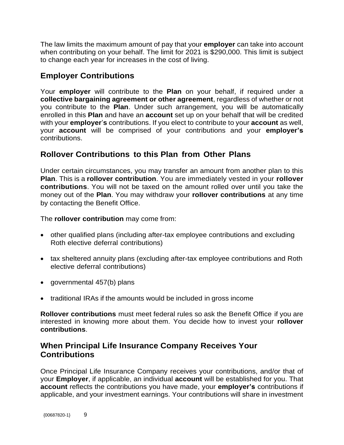The law limits the maximum amount of pay that your **employer** can take into account when contributing on your behalf. The limit for 2021 is \$290,000. This limit is subject to change each year for increases in the cost of living.

## <span id="page-9-0"></span>**Employer Contributions**

Your **employer** will contribute to the **Plan** on your behalf, if required under a **collective bargaining agreement or other agreement**, regardless of whether or not you contribute to the **Plan**. Under such arrangement, you will be automatically enrolled in this **Plan** and have an **account** set up on your behalf that will be credited with your **employer**'**s** contributions. If you elect to contribute to your **account** as well, your **account** will be comprised of your contributions and your **employer's**  contributions.

## <span id="page-9-1"></span>**Rollover Contributions to this Plan from Other Plans**

Under certain circumstances, you may transfer an amount from another plan to this **Plan**. This is a **rollover contribution**. You are immediately vested in your **rollover contributions**. You will not be taxed on the amount rolled over until you take the money out of the **Plan**. You may withdraw your **rollover contributions** at any time by contacting the Benefit Office.

The **rollover contribution** may come from:

- other qualified plans (including after-tax employee contributions and excluding Roth elective deferral contributions)
- tax sheltered annuity plans (excluding after-tax employee contributions and Roth elective deferral contributions)
- governmental 457(b) plans
- traditional IRAs if the amounts would be included in gross income

**Rollover contributions** must meet federal rules so ask the Benefit Office if you are interested in knowing more about them. You decide how to invest your **rollover contributions**.

#### <span id="page-9-2"></span>**When Principal Life Insurance Company Receives Your Contributions**

Once Principal Life Insurance Company receives your contributions, and/or that of your **Employer**, if applicable, an individual **account** will be established for you. That **account** reflects the contributions you have made, your **employer's** contributions if applicable, and your investment earnings. Your contributions will share in investment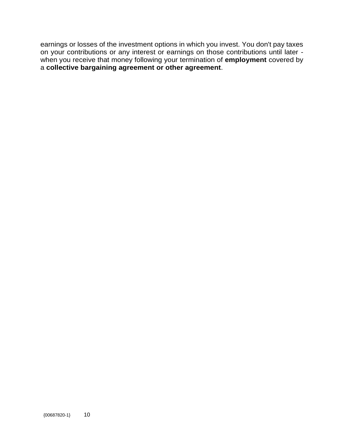earnings or losses of the investment options in which you invest. You don't pay taxes on your contributions or any interest or earnings on those contributions until later when you receive that money following your termination of **employment** covered by a **collective bargaining agreement or other agreement**.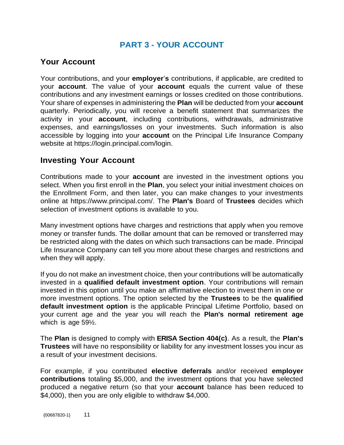#### **PART 3 - YOUR ACCOUNT**

#### <span id="page-11-1"></span><span id="page-11-0"></span>**Your Account**

Your contributions, and your **employer**'**s** contributions, if applicable, are credited to your **account**. The value of your **account** equals the current value of these contributions and any investment earnings or losses credited on those contributions. Your share of expenses in administering the **Plan** will be deducted from your **account** quarterly. Periodically, you will receive a benefit statement that summarizes the activity in your **account**, including contributions, withdrawals, administrative expenses, and earnings/losses on your investments. Such information is also accessible by logging into your **account** on the Principal Life Insurance Company website at https://login.principal.com/login.

#### <span id="page-11-2"></span>**Investing Your Account**

Contributions made to your **account** are invested in the investment options you select. When you first enroll in the **Plan**, you select your initial investment choices on the Enrollment Form, and then later, you can make changes to your investments online at https://www.principal.com/. The **Plan's** Board of **Trustees** decides which selection of investment options is available to you.

Many investment options have charges and restrictions that apply when you remove money or transfer funds. The dollar amount that can be removed or transferred may be restricted along with the dates on which such transactions can be made. Principal Life Insurance Company can tell you more about these charges and restrictions and when they will apply.

If you do not make an investment choice, then your contributions will be automatically invested in a **qualified default investment option**. Your contributions will remain invested in this option until you make an affirmative election to invest them in one or more investment options. The option selected by the **Trustees** to be the **qualified default investment option** is the applicable Principal Lifetime Portfolio, based on your current age and the year you will reach the **Plan's normal retirement age** which is age 59½.

The **Plan** is designed to comply with **ERISA Section 404(c)**. As a result, the **Plan's Trustees** will have no responsibility or liability for any investment losses you incur as a result of your investment decisions.

For example, if you contributed **elective deferrals** and/or received **employer contributions** totaling \$5,000, and the investment options that you have selected produced a negative return (so that your **account** balance has been reduced to \$4,000), then you are only eligible to withdraw \$4,000.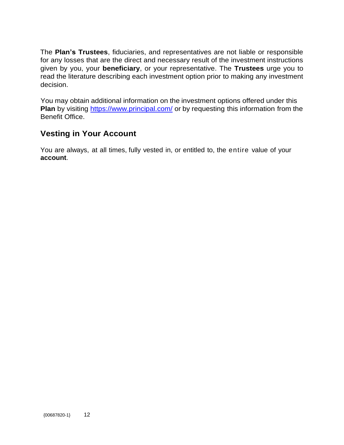The **Plan's Trustees**, fiduciaries, and representatives are not liable or responsible for any losses that are the direct and necessary result of the investment instructions given by you, your **beneficiary**, or your representative. The **Trustees** urge you to read the literature describing each investment option prior to making any investment decision.

You may obtain additional information on the investment options offered under this **Plan** by visiting<https://www.principal.com/> or by requesting this information from the Benefit Office.

# <span id="page-12-0"></span>**Vesting in Your Account**

You are always, at all times, fully vested in, or entitled to, the entire value of your **account**.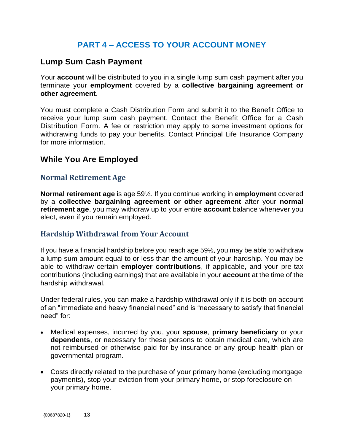# **PART 4 – ACCESS TO YOUR ACCOUNT MONEY**

#### <span id="page-13-1"></span><span id="page-13-0"></span>**Lump Sum Cash Payment**

Your **account** will be distributed to you in a single lump sum cash payment after you terminate your **employment** covered by a **collective bargaining agreement or other agreement**.

You must complete a Cash Distribution Form and submit it to the Benefit Office to receive your lump sum cash payment. Contact the Benefit Office for a Cash Distribution Form. A fee or restriction may apply to some investment options for withdrawing funds to pay your benefits. Contact Principal Life Insurance Company for more information.

## <span id="page-13-2"></span>**While You Are Employed**

#### **Normal Retirement Age**

**Normal retirement age** is age 59½. If you continue working in **employment** covered by a **collective bargaining agreement or other agreement** after your **normal retirement age**, you may withdraw up to your entire **account** balance whenever you elect, even if you remain employed.

#### **Hardship Withdrawal from Your Account**

If you have a financial hardship before you reach age 59½, you may be able to withdraw a lump sum amount equal to or less than the amount of your hardship. You may be able to withdraw certain **employer contributions**, if applicable, and your pre-tax contributions (including earnings) that are available in your **account** at the time of the hardship withdrawal.

Under federal rules, you can make a hardship withdrawal only if it is both on account of an "immediate and heavy financial need" and is "necessary to satisfy that financial need" for:

- Medical expenses, incurred by you, your **spouse**, **primary beneficiary** or your **dependents**, or necessary for these persons to obtain medical care, which are not reimbursed or otherwise paid for by insurance or any group health plan or governmental program.
- Costs directly related to the purchase of your primary home (excluding mortgage payments), stop your eviction from your primary home, or stop foreclosure on your primary home.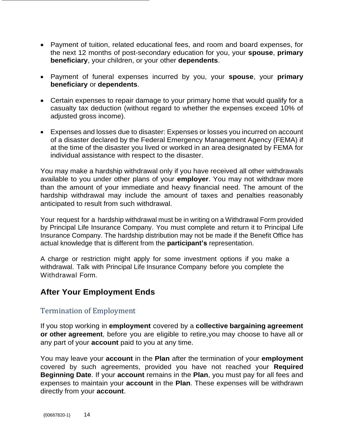- Payment of tuition, related educational fees, and room and board expenses, for the next 12 months of post-secondary education for you, your **spouse**, **primary beneficiary**, your children, or your other **dependents**.
- Payment of funeral expenses incurred by you, your **spouse**, your **primary beneficiary** or **dependents**.
- Certain expenses to repair damage to your primary home that would qualify for a casualty tax deduction (without regard to whether the expenses exceed 10% of adjusted gross income).
- Expenses and losses due to disaster: Expenses or losses you incurred on account of a disaster declared by the Federal Emergency Management Agency (FEMA) if at the time of the disaster you lived or worked in an area designated by FEMA for individual assistance with respect to the disaster.

You may make a hardship withdrawal only if you have received all other withdrawals available to you under other plans of your **employer**. You may not withdraw more than the amount of your immediate and heavy financial need. The amount of the hardship withdrawal may include the amount of taxes and penalties reasonably anticipated to result from such withdrawal.

Your request for a hardship withdrawal must be in writing on a Withdrawal Form provided by Principal Life Insurance Company. You must complete and return it to Principal Life Insurance Company. The hardship distribution may not be made if the Benefit Office has actual knowledge that is different from the **participant's** representation.

A charge or restriction might apply for some investment options if you make a withdrawal. Talk with Principal Life Insurance Company before you complete the Withdrawal Form.

## <span id="page-14-0"></span>**After Your Employment Ends**

#### Termination of Employment

If you stop working in **employment** covered by a **collective bargaining agreement or other agreement**, before you are eligible to retire,you may choose to have all or any part of your **account** paid to you at any time.

You may leave your **account** in the **Plan** after the termination of your **employment** covered by such agreements, provided you have not reached your **Required Beginning Date**. If your **account** remains in the **Plan**, you must pay for all fees and expenses to maintain your **account** in the **Plan**. These expenses will be withdrawn directly from your **account**.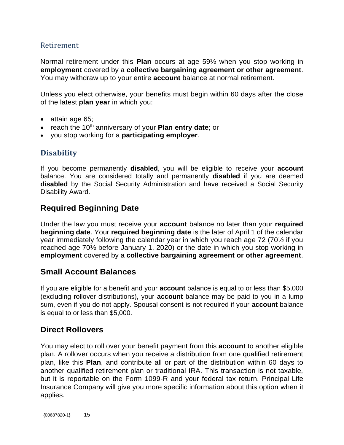#### Retirement

Normal retirement under this **Plan** occurs at age 59½ when you stop working in **employment** covered by a **collective bargaining agreement or other agreement**. You may withdraw up to your entire **account** balance at normal retirement.

Unless you elect otherwise, your benefits must begin within 60 days after the close of the latest **plan year** in which you:

- attain age 65;
- reach the 10th anniversary of your **Plan entry date**; or
- you stop working for a **participating employer**.

## **Disability**

If you become permanently **disabled**, you will be eligible to receive your **account** balance. You are considered totally and permanently **disabled** if you are deemed **disabled** by the Social Security Administration and have received a Social Security Disability Award.

## <span id="page-15-0"></span>**Required Beginning Date**

Under the law you must receive your **account** balance no later than your **required beginning date**. Your **required beginning date** is the later of April 1 of the calendar year immediately following the calendar year in which you reach age 72 (70½ if you reached age 70½ before January 1, 2020) or the date in which you stop working in **employment** covered by a **collective bargaining agreement or other agreement**.

#### <span id="page-15-1"></span>**Small Account Balances**

If you are eligible for a benefit and your **account** balance is equal to or less than \$5,000 (excluding rollover distributions), your **account** balance may be paid to you in a lump sum, even if you do not apply. Spousal consent is not required if your **account** balance is equal to or less than \$5,000.

## <span id="page-15-2"></span>**Direct Rollovers**

You may elect to roll over your benefit payment from this **account** to another eligible plan. A rollover occurs when you receive a distribution from one qualified retirement plan, like this **Plan**, and contribute all or part of the distribution within 60 days to another qualified retirement plan or traditional IRA. This transaction is not taxable, but it is reportable on the Form 1099-R and your federal tax return. Principal Life Insurance Company will give you more specific information about this option when it applies.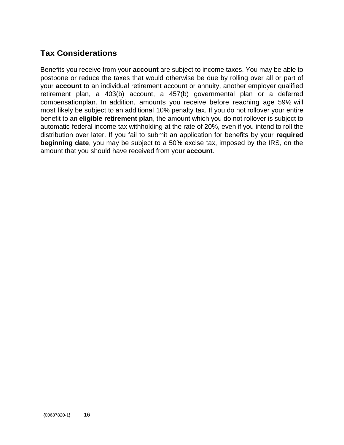# <span id="page-16-0"></span>**Tax Considerations**

Benefits you receive from your **account** are subject to income taxes. You may be able to postpone or reduce the taxes that would otherwise be due by rolling over all or part of your **account** to an individual retirement account or annuity, another employer qualified retirement plan, a 403(b) account, a 457(b) governmental plan or a deferred compensationplan. In addition, amounts you receive before reaching age 59½ will most likely be subject to an additional 10% penalty tax. If you do not rollover your entire benefit to an **eligible retirement plan**, the amount which you do not rollover is subject to automatic federal income tax withholding at the rate of 20%, even if you intend to roll the distribution over later. If you fail to submit an application for benefits by your **required beginning date**, you may be subject to a 50% excise tax, imposed by the IRS, on the amount that you should have received from your **account**.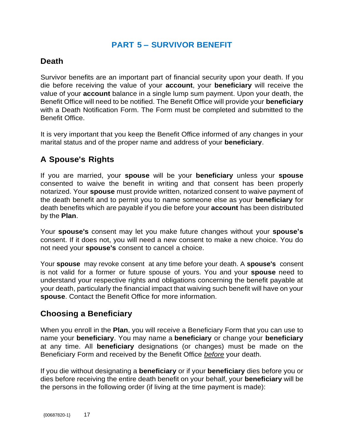#### **PART 5 – SURVIVOR BENEFIT**

#### <span id="page-17-1"></span><span id="page-17-0"></span>**Death**

Survivor benefits are an important part of financial security upon your death. If you die before receiving the value of your **account**, your **beneficiary** will receive the value of your **account** balance in a single lump sum payment. Upon your death, the Benefit Office will need to be notified. The Benefit Office will provide your **beneficiary** with a Death Notification Form. The Form must be completed and submitted to the Benefit Office.

It is very important that you keep the Benefit Office informed of any changes in your marital status and of the proper name and address of your **beneficiary**.

# <span id="page-17-2"></span>**A Spouse's Rights**

If you are married, your **spouse** will be your **beneficiary** unless your **spouse** consented to waive the benefit in writing and that consent has been properly notarized. Your **spouse** must provide written, notarized consent to waive payment of the death benefit and to permit you to name someone else as your **beneficiary** for death benefits which are payable if you die before your **account** has been distributed by the **Plan**.

Your **spouse's** consent may let you make future changes without your **spouse's** consent. If it does not, you will need a new consent to make a new choice. You do not need your **spouse's** consent to cancel a choice.

Your **spouse** may revoke consent at any time before your death. A **spouse's** consent is not valid for a former or future spouse of yours. You and your **spouse** need to understand your respective rights and obligations concerning the benefit payable at your death, particularly the financial impact that waiving such benefit will have on your **spouse**. Contact the Benefit Office for more information.

# <span id="page-17-3"></span>**Choosing a Beneficiary**

When you enroll in the **Plan**, you will receive a Beneficiary Form that you can use to name your **beneficiary**. You may name a **beneficiary** or change your **beneficiary** at any time. All **beneficiary** designations (or changes) must be made on the Beneficiary Form and received by the Benefit Office *before* your death.

If you die without designating a **beneficiary** or if your **beneficiary** dies before you or dies before receiving the entire death benefit on your behalf, your **beneficiary** will be the persons in the following order (if living at the time payment is made):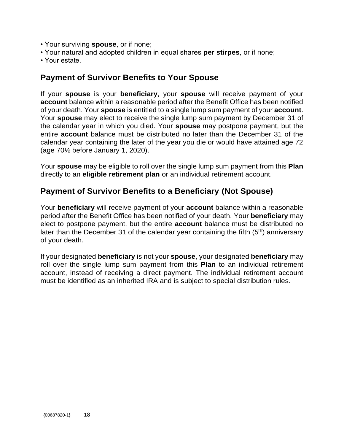- Your surviving **spouse**, or if none;
- Your natural and adopted children in equal shares **per stirpes**, or if none;
- Your estate.

#### <span id="page-18-0"></span>**Payment of Survivor Benefits to Your Spouse**

If your **spouse** is your **beneficiary**, your **spouse** will receive payment of your **account** balance within a reasonable period after the Benefit Office has been notified of your death. Your **spouse** is entitled to a single lump sum payment of your **account**. Your **spouse** may elect to receive the single lump sum payment by December 31 of the calendar year in which you died. Your **spouse** may postpone payment, but the entire **account** balance must be distributed no later than the December 31 of the calendar year containing the later of the year you die or would have attained age 72 (age 70½ before January 1, 2020).

Your **spouse** may be eligible to roll over the single lump sum payment from this **Plan**  directly to an **eligible retirement plan** or an individual retirement account.

#### <span id="page-18-1"></span>**Payment of Survivor Benefits to a Beneficiary (Not Spouse)**

Your **beneficiary** will receive payment of your **account** balance within a reasonable period after the Benefit Office has been notified of your death. Your **beneficiary** may elect to postpone payment, but the entire **account** balance must be distributed no later than the December 31 of the calendar year containing the fifth  $(5<sup>th</sup>)$  anniversary of your death.

If your designated **beneficiary** is not your **spouse**, your designated **beneficiary** may roll over the single lump sum payment from this **Plan** to an individual retirement account, instead of receiving a direct payment. The individual retirement account must be identified as an inherited IRA and is subject to special distribution rules.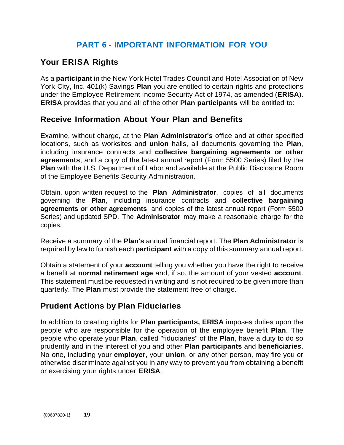## **PART 6 - IMPORTANT INFORMATION FOR YOU**

# <span id="page-19-1"></span><span id="page-19-0"></span>**Your ERISA Rights**

As a **participant** in the New York Hotel Trades Council and Hotel Association of New York City, Inc. 401(k) Savings **Plan** you are entitled to certain rights and protections under the Employee Retirement Income Security Act of 1974, as amended (**ERISA**). **ERISA** provides that you and all of the other **Plan participants** will be entitled to:

#### <span id="page-19-2"></span>**Receive Information About Your Plan and Benefits**

Examine, without charge, at the **Plan Administrator's** office and at other specified locations, such as worksites and **union** halls, all documents governing the **Plan**, including insurance contracts and **collective bargaining agreements or other agreements**, and a copy of the latest annual report (Form 5500 Series) filed by the **Plan** with the U.S. Department of Labor and available at the Public Disclosure Room of the Employee Benefits Security Administration.

Obtain, upon written request to the **Plan Administrator**, copies of all documents governing the **Plan**, including insurance contracts and **collective bargaining agreements or other agreements**, and copies of the latest annual report (Form 5500 Series) and updated SPD. The **Administrator** may make a reasonable charge for the copies.

Receive a summary of the **Plan's** annual financial report. The **Plan Administrator** is required by law to furnish each **participant** with a copy of this summary annual report.

Obtain a statement of your **account** telling you whether you have the right to receive a benefit at **normal retirement age** and, if so, the amount of your vested **account**. This statement must be requested in writing and is not required to be given more than quarterly. The **Plan** must provide the statement free of charge.

## <span id="page-19-3"></span>**Prudent Actions by Plan Fiduciaries**

In addition to creating rights for **Plan participants, ERISA** imposes duties upon the people who are responsible for the operation of the employee benefit **Plan**. The people who operate your **Plan**, called "fiduciaries" of the **Plan**, have a duty to do so prudently and in the interest of you and other **Plan participants** and **beneficiaries**. No one, including your **employer**, your **union**, or any other person, may fire you or otherwise discriminate against you in any way to prevent you from obtaining a benefit or exercising your rights under **ERISA**.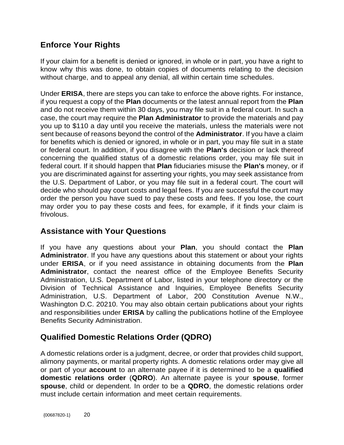# <span id="page-20-0"></span>**Enforce Your Rights**

If your claim for a benefit is denied or ignored, in whole or in part, you have a right to know why this was done, to obtain copies of documents relating to the decision without charge, and to appeal any denial, all within certain time schedules.

Under **ERISA**, there are steps you can take to enforce the above rights. For instance, if you request a copy of the **Plan** documents or the latest annual report from the **Plan**  and do not receive them within 30 days, you may file suit in a federal court. In such a case, the court may require the **Plan Administrator** to provide the materials and pay you up to \$110 a day until you receive the materials, unless the materials were not sent because of reasons beyond the control of the **Administrator**. If you have a claim for benefits which is denied or ignored, in whole or in part, you may file suit in a state or federal court. In addition, if you disagree with the **Plan's** decision or lack thereof concerning the qualified status of a domestic relations order, you may file suit in federal court. If it should happen that **Plan** fiduciaries misuse the **Plan's** money, or if you are discriminated against for asserting your rights, you may seek assistance from the U.S. Department of Labor, or you may file suit in a federal court. The court will decide who should pay court costs and legal fees. If you are successful the court may order the person you have sued to pay these costs and fees. If you lose, the court may order you to pay these costs and fees, for example, if it finds your claim is frivolous.

## <span id="page-20-1"></span>**Assistance with Your Questions**

If you have any questions about your **Plan**, you should contact the **Plan Administrator**. If you have any questions about this statement or about your rights under **ERISA**, or if you need assistance in obtaining documents from the **Plan Administrator**, contact the nearest office of the Employee Benefits Security Administration, U.S. Department of Labor, listed in your telephone directory or the Division of Technical Assistance and Inquiries, Employee Benefits Security Administration, U.S. Department of Labor, 200 Constitution Avenue N.W., Washington D.C. 20210. You may also obtain certain publications about your rights and responsibilities under **ERISA** by calling the publications hotline of the Employee Benefits Security Administration.

# <span id="page-20-2"></span>**Qualified Domestic Relations Order (QDRO)**

A domestic relations order is a judgment, decree, or order that provides child support, alimony payments, or marital property rights. A domestic relations order may give all or part of your **account** to an alternate payee if it is determined to be a **qualified domestic relations order** (**QDRO**). An alternate payee is your **spouse**, former **spouse**, child or dependent. In order to be a **QDRO**, the domestic relations order must include certain information and meet certain requirements.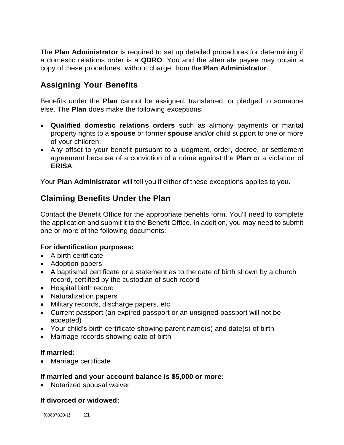The **Plan Administrator** is required to set up detailed procedures for determining if a domestic relations order is a **QDRO**. You and the alternate payee may obtain a copy of these procedures, without charge, from the **Plan Administrator**.

# <span id="page-21-0"></span>**Assigning Your Benefits**

Benefits under the **Plan** cannot be assigned, transferred, or pledged to someone else. The **Plan** does make the following exceptions:

- **Qualified domestic relations orders** such as alimony payments or marital property rights to a **spouse** or former **spouse** and/or child support to one or more of your children.
- Any offset to your benefit pursuant to a judgment, order, decree, or settlement agreement because of a conviction of a crime against the **Plan** or a violation of **ERISA**.

Your **Plan Administrator** will tell you if either of these exceptions applies to you.

## <span id="page-21-1"></span>**Claiming Benefits Under the Plan**

Contact the Benefit Office for the appropriate benefits form. You'll need to complete the application and submit it to the Benefit Office. In addition, you may need to submit one or more of the following documents:

#### **For identification purposes:**

- A birth certificate
- Adoption papers
- A baptismal certificate or a statement as to the date of birth shown by a church record, certified by the custodian of such record
- Hospital birth record
- Naturalization papers
- Military records, discharge papers, etc.
- Current passport (an expired passport or an unsigned passport will not be accepted)
- Your child's birth certificate showing parent name(s) and date(s) of birth
- Marriage records showing date of birth

#### **If married:**

Marriage certificate

#### **If married and your account balance is \$5,000 or more:**

• Notarized spousal waiver

#### **If divorced or widowed:**

{00687820-1} 21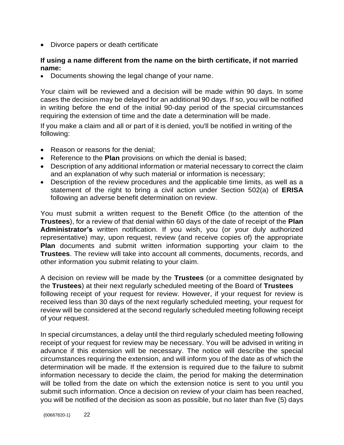• Divorce papers or death certificate

#### **If using a name different from the name on the birth certificate, if not married name:**

Documents showing the legal change of your name.

Your claim will be reviewed and a decision will be made within 90 days. In some cases the decision may be delayed for an additional 90 days. If so, you will be notified in writing before the end of the initial 90-day period of the special circumstances requiring the extension of time and the date a determination will be made.

If you make a claim and all or part of it is denied, you'll be notified in writing of the following:

- Reason or reasons for the denial:
- Reference to the **Plan** provisions on which the denial is based;
- Description of any additional information or material necessary to correct the claim and an explanation of why such material or information is necessary;
- Description of the review procedures and the applicable time limits, as well as a statement of the right to bring a civil action under Section 502(a) of **ERISA** following an adverse benefit determination on review.

You must submit a written request to the Benefit Office (to the attention of the **Trustees**), for a review of that denial within 60 days of the date of receipt of the **Plan Administrator's** written notification. If you wish, you (or your duly authorized representative) may, upon request, review (and receive copies of) the appropriate **Plan** documents and submit written information supporting your claim to the **Trustees**. The review will take into account all comments, documents, records, and other information you submit relating to your claim.

A decision on review will be made by the **Trustees** (or a committee designated by the **Trustees**) at their next regularly scheduled meeting of the Board of **Trustees** following receipt of your request for review. However, if your request for review is received less than 30 days of the next regularly scheduled meeting, your request for review will be considered at the second regularly scheduled meeting following receipt of your request.

In special circumstances, a delay until the third regularly scheduled meeting following receipt of your request for review may be necessary. You will be advised in writing in advance if this extension will be necessary. The notice will describe the special circumstances requiring the extension, and will inform you of the date as of which the determination will be made. If the extension is required due to the failure to submit information necessary to decide the claim, the period for making the determination will be tolled from the date on which the extension notice is sent to you until you submit such information. Once a decision on review of your claim has been reached, you will be notified of the decision as soon as possible, but no later than five (5) days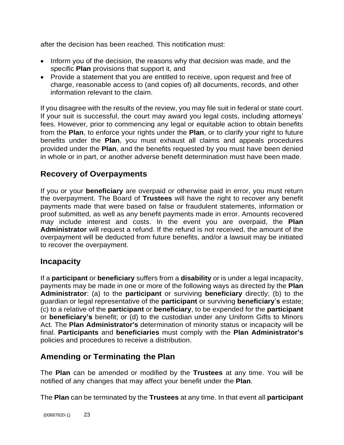after the decision has been reached. This notification must:

- Inform you of the decision, the reasons why that decision was made, and the specific **Plan** provisions that support it, and
- Provide a statement that you are entitled to receive, upon request and free of charge, reasonable access to (and copies of) all documents, records, and other information relevant to the claim.

If you disagree with the results of the review, you may file suit in federal or state court. If your suit is successful, the court may award you legal costs, including attorneys' fees. However, prior to commencing any legal or equitable action to obtain benefits from the **Plan**, to enforce your rights under the **Plan**, or to clarify your right to future benefits under the **Plan**, you must exhaust all claims and appeals procedures provided under the **Plan**, and the benefits requested by you must have been denied in whole or in part, or another adverse benefit determination must have been made.

## <span id="page-23-0"></span>**Recovery of Overpayments**

If you or your **beneficiary** are overpaid or otherwise paid in error, you must return the overpayment. The Board of **Trustees** will have the right to recover any benefit payments made that were based on false or fraudulent statements, information or proof submitted, as well as any benefit payments made in error. Amounts recovered may include interest and costs. In the event you are overpaid, the **Plan Administrator** will request a refund. If the refund is not received, the amount of the overpayment will be deducted from future benefits, and/or a lawsuit may be initiated to recover the overpayment.

## <span id="page-23-1"></span>**Incapacity**

If a **participant** or **beneficiary** suffers from a **disability** or is under a legal incapacity, payments may be made in one or more of the following ways as directed by the **Plan Administrator**: (a) to the **participant** or surviving **beneficiary** directly; (b) to the guardian or legal representative of the **participant** or surviving **beneficiary**'**s** estate; (c) to a relative of the **participant** or **beneficiary**, to be expended for the **participant**  or **beneficiary's** benefit; or (d) to the custodian under any Uniform Gifts to Minors Act. The **Plan Administrator's** determination of minority status or incapacity will be final. **Participants** and **beneficiaries** must comply with the **Plan Administrator's**  policies and procedures to receive a distribution.

## <span id="page-23-2"></span>**Amending or Terminating the Plan**

The **Plan** can be amended or modified by the **Trustees** at any time. You will be notified of any changes that may affect your benefit under the **Plan**.

The **Plan** can be terminated by the **Trustees** at any time. In that event all **participant**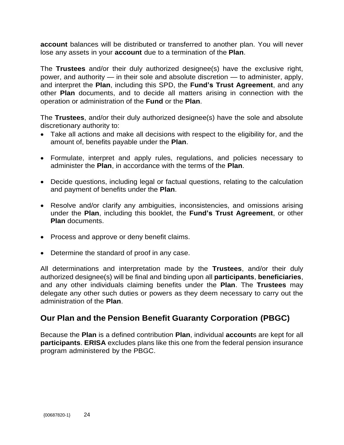**account** balances will be distributed or transferred to another plan. You will never lose any assets in your **account** due to a termination of the **Plan**.

The **Trustees** and/or their duly authorized designee(s) have the exclusive right, power, and authority — in their sole and absolute discretion — to administer, apply, and interpret the **Plan**, including this SPD, the **Fund's Trust Agreement**, and any other **Plan** documents, and to decide all matters arising in connection with the operation or administration of the **Fund** or the **Plan**.

The **Trustees**, and/or their duly authorized designee(s) have the sole and absolute discretionary authority to:

- Take all actions and make all decisions with respect to the eligibility for, and the amount of, benefits payable under the **Plan**.
- Formulate, interpret and apply rules, regulations, and policies necessary to administer the **Plan**, in accordance with the terms of the **Plan**.
- Decide questions, including legal or factual questions, relating to the calculation and payment of benefits under the **Plan**.
- Resolve and/or clarify any ambiguities, inconsistencies, and omissions arising under the **Plan**, including this booklet, the **Fund's Trust Agreement**, or other **Plan** documents.
- Process and approve or deny benefit claims.
- Determine the standard of proof in any case.

All determinations and interpretation made by the **Trustees**, and/or their duly authorized designee(s) will be final and binding upon all **participants**, **beneficiaries**, and any other individuals claiming benefits under the **Plan**. The **Trustees** may delegate any other such duties or powers as they deem necessary to carry out the administration of the **Plan**.

## <span id="page-24-0"></span>**Our Plan and the Pension Benefit Guaranty Corporation (PBGC)**

Because the **Plan** is a defined contribution **Plan**, individual **account**s are kept for all **participants**. **ERISA** excludes plans like this one from the federal pension insurance program administered by the PBGC.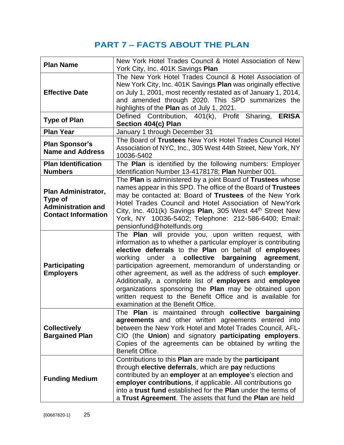# **PART 7 – FACTS ABOUT THE PLAN**

<span id="page-25-0"></span>

| <b>Plan Name</b>                                                                          | New York Hotel Trades Council & Hotel Association of New<br>York City, Inc. 401K Savings Plan                                                                                                                                                                                                                                                                                                                                                                                                                                                                                             |  |  |
|-------------------------------------------------------------------------------------------|-------------------------------------------------------------------------------------------------------------------------------------------------------------------------------------------------------------------------------------------------------------------------------------------------------------------------------------------------------------------------------------------------------------------------------------------------------------------------------------------------------------------------------------------------------------------------------------------|--|--|
| <b>Effective Date</b>                                                                     | The New York Hotel Trades Council & Hotel Association of<br>New York City, Inc. 401K Savings Plan was originally effective<br>on July 1, 2001, most recently restated as of January 1, 2014,<br>and amended through 2020. This SPD summarizes the<br>highlights of the Plan as of July 1, 2021.                                                                                                                                                                                                                                                                                           |  |  |
| <b>Type of Plan</b>                                                                       | Defined Contribution, 401(k), Profit Sharing,<br><b>ERISA</b><br>Section 404(c) Plan                                                                                                                                                                                                                                                                                                                                                                                                                                                                                                      |  |  |
| <b>Plan Year</b>                                                                          | January 1 through December 31                                                                                                                                                                                                                                                                                                                                                                                                                                                                                                                                                             |  |  |
| <b>Plan Sponsor's</b><br><b>Name and Address</b>                                          | The Board of Trustees New York Hotel Trades Council Hotel<br>Association of NYC, Inc., 305 West 44th Street, New York, NY<br>10036-5402                                                                                                                                                                                                                                                                                                                                                                                                                                                   |  |  |
| <b>Plan Identification</b><br><b>Numbers</b>                                              | The Plan is identified by the following numbers: Employer<br>Identification Number 13-4178178; Plan Number 001.                                                                                                                                                                                                                                                                                                                                                                                                                                                                           |  |  |
| Plan Administrator,<br>Type of<br><b>Administration and</b><br><b>Contact Information</b> | The Plan is administered by a joint Board of Trustees whose<br>names appear in this SPD. The office of the Board of Trustees<br>may be contacted at: Board of Trustees of the New York<br>Hotel Trades Council and Hotel Association of NewYork<br>City, Inc. 401(k) Savings Plan, 305 West 44 <sup>th</sup> Street New<br>York, NY 10036-5402; Telephone: 212-586-6400; Email:<br>pensionfund@hotelfunds.org                                                                                                                                                                             |  |  |
| <b>Participating</b><br><b>Employers</b>                                                  | The Plan will provide you, upon written request, with<br>information as to whether a particular employer is contributing<br>elective deferrals to the Plan on behalf of employees<br>working under a collective bargaining<br>agreement,<br>participation agreement, memorandum of understanding or<br>other agreement, as well as the address of such employer.<br>Additionally, a complete list of employers and employee<br>organizations sponsoring the Plan may be obtained upon<br>written request to the Benefit Office and is available for<br>examination at the Benefit Office. |  |  |
| <b>Collectively</b><br><b>Bargained Plan</b>                                              | The Plan is maintained through collective bargaining<br>agreements and other written agreements entered into<br>between the New York Hotel and Motel Trades Council, AFL-<br>CIO (the Union) and signatory participating employers.<br>Copies of the agreements can be obtained by writing the<br>Benefit Office.                                                                                                                                                                                                                                                                         |  |  |
| <b>Funding Medium</b>                                                                     | Contributions to this Plan are made by the participant<br>through elective deferrals, which are pay reductions<br>contributed by an employer at an employee's election and<br>employer contributions, if applicable. All contributions go<br>into a trust fund established for the Plan under the terms of<br>a Trust Agreement. The assets that fund the Plan are held                                                                                                                                                                                                                   |  |  |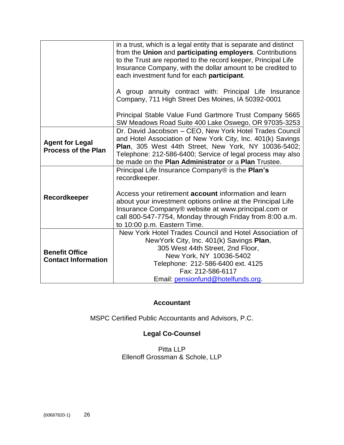|                                                      | in a trust, which is a legal entity that is separate and distinct<br>from the Union and participating employers. Contributions<br>to the Trust are reported to the record keeper, Principal Life<br>Insurance Company, with the dollar amount to be credited to<br>each investment fund for each participant.                                 |
|------------------------------------------------------|-----------------------------------------------------------------------------------------------------------------------------------------------------------------------------------------------------------------------------------------------------------------------------------------------------------------------------------------------|
|                                                      | A group annuity contract with: Principal Life Insurance<br>Company, 711 High Street Des Moines, IA 50392-0001                                                                                                                                                                                                                                 |
|                                                      | Principal Stable Value Fund Gartmore Trust Company 5665<br>SW Meadows Road Suite 400 Lake Oswego, OR 97035-3253                                                                                                                                                                                                                               |
| <b>Agent for Legal</b><br><b>Process of the Plan</b> | Dr. David Jacobson - CEO, New York Hotel Trades Council<br>and Hotel Association of New York City, Inc. 401(k) Savings<br>Plan, 305 West 44th Street, New York, NY 10036-5402;<br>Telephone: 212-586-6400; Service of legal process may also<br>be made on the Plan Administrator or a Plan Trustee.                                          |
| Recordkeeper                                         | Principal Life Insurance Company® is the Plan's<br>recordkeeper.<br>Access your retirement <b>account</b> information and learn<br>about your investment options online at the Principal Life<br>Insurance Company® website at www.principal.com or<br>call 800-547-7754, Monday through Friday from 8:00 a.m.<br>to 10:00 p.m. Eastern Time. |
| <b>Benefit Office</b><br><b>Contact Information</b>  | New York Hotel Trades Council and Hotel Association of<br>New York City, Inc. 401(k) Savings Plan,<br>305 West 44th Street, 2nd Floor,<br>New York, NY 10036-5402<br>Telephone: 212-586-6400 ext. 4125<br>Fax: 212-586-6117<br>Email: pensionfund@hotelfunds.org.                                                                             |

#### **Accountant**

MSPC Certified Public Accountants and Advisors, P.C.

#### **Legal Co-Counsel**

Pitta LLP Ellenoff Grossman & Schole, LLP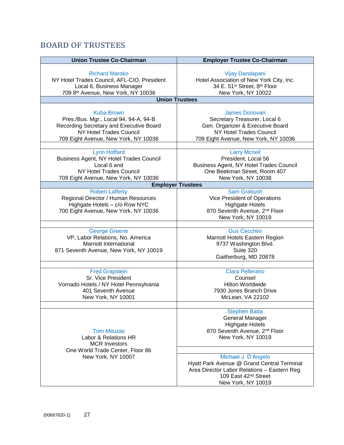# BOARD OF TRUSTEES

| <b>Union Trustee Co-Chairman</b>                                                                                                                                         | <b>Employer Trustee Co-Chairman</b>                                                                                                                                                                                                                                                                                        |
|--------------------------------------------------------------------------------------------------------------------------------------------------------------------------|----------------------------------------------------------------------------------------------------------------------------------------------------------------------------------------------------------------------------------------------------------------------------------------------------------------------------|
| <b>Richard Maroko</b><br>NY Hotel Trades Council, AFL-CIO, President<br>Local 6, Business Manager<br>709 8th Avenue, New York, NY 10036                                  | Vijay Dandapani<br>Hotel Association of New York City, Inc.<br>34 E. 51st Street, 8th Floor<br>New York, NY 10022                                                                                                                                                                                                          |
|                                                                                                                                                                          | <b>Union Trustees</b>                                                                                                                                                                                                                                                                                                      |
| <b>Kuba Brown</b><br>Pres./Bus. Mgr., Local 94, 94-A, 94-B<br>Recording Secretary and Executive Board<br>NY Hotel Trades Council<br>709 Eight Avenue, New York, NY 10036 | James Donovan<br>Secretary Treasurer, Local 6<br>Gen. Organizer & Executive Board<br>NY Hotel Trades Council<br>709 Eight Avenue, New York, NY 10036                                                                                                                                                                       |
| <b>Lynn Hoffard</b><br>Business Agent, NY Hotel Trades Council<br>Local 6 and<br>NY Hotel Trades Council<br>709 Eight Avenue, New York, NY 10036                         | <b>Larry Mcneil</b><br>President, Local 56<br>Business Agent, NY Hotel Trades Council<br>One Beekman Street, Room 407<br>New York, NY 10038                                                                                                                                                                                |
|                                                                                                                                                                          | <b>Employer Trustees</b>                                                                                                                                                                                                                                                                                                   |
| <b>Robert Lafferty</b><br>Regional Director / Human Resources<br>Highgate Hotels - c/o Row NYC<br>700 Eight Avenue, New York, NY 10036                                   | <b>Sam Grabush</b><br>Vice President of Operations<br><b>Highgate Hotels</b><br>870 Seventh Avenue, 2 <sup>nd</sup> Floor<br>New York, NY 10019                                                                                                                                                                            |
| <b>George Greene</b><br>VP, Labor Relations, No. America<br>Marriott International<br>871 Seventh Avenue, New York, NY 10019                                             | <b>Gus Cecchini</b><br>Marriott Hotels Eastern Region<br>9737 Washington Blvd.<br>Suite 320<br>Gaitherburg, MD 20878                                                                                                                                                                                                       |
| <b>Fred Grapstein</b><br>Sr. Vice President<br>Vornado Hotels / NY Hotel Pennsylvania<br>401 Seventh Avenue<br>New York, NY 10001                                        | <b>Clara Pellerano</b><br>Counsel<br><b>Hilton Worldwide</b><br>7930 Jones Branch Drive<br>McLean, VA 22102                                                                                                                                                                                                                |
| <b>Tom Mituzas</b><br>Labor & Relations HR<br><b>MCR Investors</b><br>One World Trade Center, Floor 86<br>New York, NY 10007                                             | <b>Stephen Batta</b><br><b>General Manager</b><br><b>Highgate Hotels</b><br>870 Seventh Avenue, 2 <sup>nd</sup> Floor<br>New York, NY 10019<br>Michael J. D'Angelo<br>Hyatt Park Avenue @ Grand Central Terminal<br>Area Director Labor Relations - Eastern Reg.<br>109 East 42 <sup>nd</sup> Street<br>New York, NY 10019 |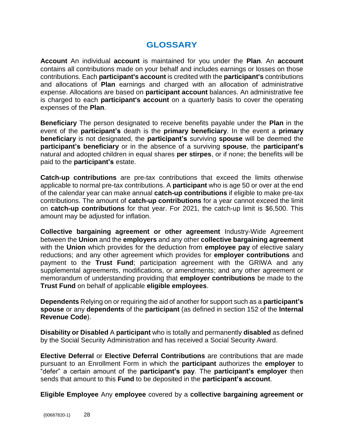#### **GLOSSARY**

<span id="page-28-0"></span>**Account** An individual **account** is maintained for you under the **Plan**. An **account** contains all contributions made on your behalf and includes earnings or losses on those contributions. Each **participant's account** is credited with the **participant's** contributions and allocations of **Plan** earnings and charged with an allocation of administrative expense. Allocations are based on **participant account** balances. An administrative fee is charged to each **participant's account** on a quarterly basis to cover the operating expenses of the **Plan**.

**Beneficiary** The person designated to receive benefits payable under the **Plan** in the event of the **participant's** death is the **primary beneficiary**. In the event a **primary beneficiary** is not designated, the **participant's** surviving **spouse** will be deemed the **participant's beneficiary** or in the absence of a surviving **spouse**, the **participant's**  natural and adopted children in equal shares **per stirpes**, or if none; the benefits will be paid to the **participant's** estate.

**Catch-up contributions** are pre-tax contributions that exceed the limits otherwise applicable to normal pre-tax contributions. A **participant** who is age 50 or over at the end of the calendar year can make annual **catch-up contributions** if eligible to make pre-tax contributions. The amount of **catch-up contributions** for a year cannot exceed the limit on **catch-up contributions** for that year. For 2021, the catch-up limit is \$6,500. This amount may be adjusted for inflation.

**Collective bargaining agreement or other agreement** Industry-Wide Agreement between the **Union** and the **employers** and any other **collective bargaining agreement** with the **Union** which provides for the deduction from **employee pay** of elective salary reductions; and any other agreement which provides for **employer contributions** and payment to the **Trust Fund**; participation agreement with the GRIWA and any supplemental agreements, modifications, or amendments; and any other agreement or memorandum of understanding providing that **employer contributions** be made to the **Trust Fund** on behalf of applicable **eligible employees**.

**Dependents** Relying on or requiring the aid of another for support such as a **participant's spouse** or any **dependents** of the **participant** (as defined in section 152 of the **Internal Revenue Code**).

**Disability or Disabled** A **participant** who is totally and permanently **disabled** as defined by the Social Security Administration and has received a Social Security Award.

**Elective Deferral** or **Elective Deferral Contributions** are contributions that are made pursuant to an Enrollment Form in which the **participant** authorizes the **employer** to "defer" a certain amount of the **participant's pay**. The **participant's employer** then sends that amount to this **Fund** to be deposited in the **participant's account**.

**Eligible Employee** Any **employee** covered by a **collective bargaining agreement or**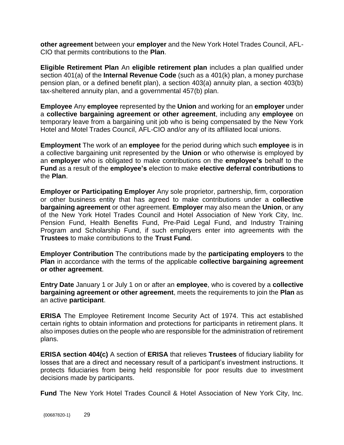**other agreement** between your **employer** and the New York Hotel Trades Council, AFL-CIO that permits contributions to the **Plan**.

**Eligible Retirement Plan** An **eligible retirement plan** includes a plan qualified under section 401(a) of the **Internal Revenue Code** (such as a 401(k) plan, a money purchase pension plan, or a defined benefit plan), a section 403(a) annuity plan, a section 403(b) tax-sheltered annuity plan, and a governmental 457(b) plan.

**Employee** Any **employee** represented by the **Union** and working for an **employer** under a **collective bargaining agreement or other agreement**, including any **employee** on temporary leave from a bargaining unit job who is being compensated by the New York Hotel and Motel Trades Council, AFL-CIO and/or any of its affiliated local unions.

**Employment** The work of an **employee** for the period during which such **employee** is in a collective bargaining unit represented by the **Union** or who otherwise is employed by an **employer** who is obligated to make contributions on the **employee's** behalf to the **Fund** as a result of the **employee's** election to make **elective deferral contributions** to the **Plan**.

**Employer or Participating Employer** Any sole proprietor, partnership, firm, corporation or other business entity that has agreed to make contributions under a **collective bargaining agreement** or other agreement. **Employer** may also mean the **Union**, or any of the New York Hotel Trades Council and Hotel Association of New York City, Inc. Pension Fund, Health Benefits Fund, Pre-Paid Legal Fund, and Industry Training Program and Scholarship Fund, if such employers enter into agreements with the **Trustees** to make contributions to the **Trust Fund**.

**Employer Contribution** The contributions made by the **participating employers** to the **Plan** in accordance with the terms of the applicable **collective bargaining agreement or other agreement**.

**Entry Date** January 1 or July 1 on or after an **employee**, who is covered by a **collective bargaining agreement or other agreement**, meets the requirements to join the **Plan** as an active **participant**.

**ERISA** The Employee Retirement Income Security Act of 1974. This act established certain rights to obtain information and protections for participants in retirement plans. It also imposes duties on the people who are responsible for the administration of retirement plans.

**ERISA section 404(c)** A section of **ERISA** that relieves **Trustees** of fiduciary liability for losses that are a direct and necessary result of a participant's investment instructions. It protects fiduciaries from being held responsible for poor results due to investment decisions made by participants.

**Fund** The New York Hotel Trades Council & Hotel Association of New York City, Inc.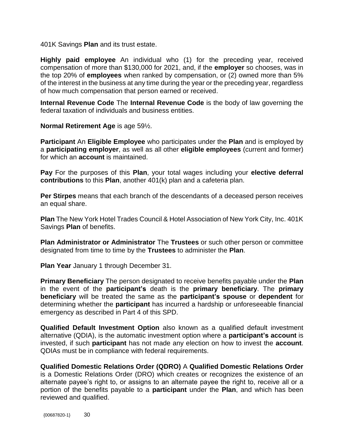401K Savings **Plan** and its trust estate.

**Highly paid employee** An individual who (1) for the preceding year, received compensation of more than \$130,000 for 2021, and, if the **employer** so chooses, was in the top 20% of **employees** when ranked by compensation, or (2) owned more than 5% of the interest in the business at any time during the year or the preceding year, regardless of how much compensation that person earned or received.

**Internal Revenue Code** The **Internal Revenue Code** is the body of law governing the federal taxation of individuals and business entities.

**Normal Retirement Age** is age 59½.

**Participant** An **Eligible Employee** who participates under the **Plan** and is employed by a **participating employer**, as well as all other **eligible employees** (current and former) for which an **account** is maintained.

**Pay** For the purposes of this **Plan**, your total wages including your **elective deferral contributions** to this **Plan**, another 401(k) plan and a cafeteria plan.

**Per Stirpes** means that each branch of the descendants of a deceased person receives an equal share.

**Plan** The New York Hotel Trades Council & Hotel Association of New York City, Inc. 401K Savings **Plan** of benefits.

**Plan Administrator or Administrator** The **Trustees** or such other person or committee designated from time to time by the **Trustees** to administer the **Plan**.

**Plan Year** January 1 through December 31.

**Primary Beneficiary** The person designated to receive benefits payable under the **Plan** in the event of the **participant's** death is the **primary beneficiary**. The **primary beneficiary** will be treated the same as the **participant's spouse** or **dependent** for determining whether the **participant** has incurred a hardship or unforeseeable financial emergency as described in Part 4 of this SPD.

**Qualified Default Investment Option** also known as a qualified default investment alternative (QDIA), is the automatic investment option where a **participant's account** is invested, if such **participant** has not made any election on how to invest the **account**. QDIAs must be in compliance with federal requirements.

**Qualified Domestic Relations Order (QDRO)** A **Qualified Domestic Relations Order** is a Domestic Relations Order (DRO) which creates or recognizes the existence of an alternate payee's right to, or assigns to an alternate payee the right to, receive all or a portion of the benefits payable to a **participant** under the **Plan**, and which has been reviewed and qualified.

{00687820-1} 30